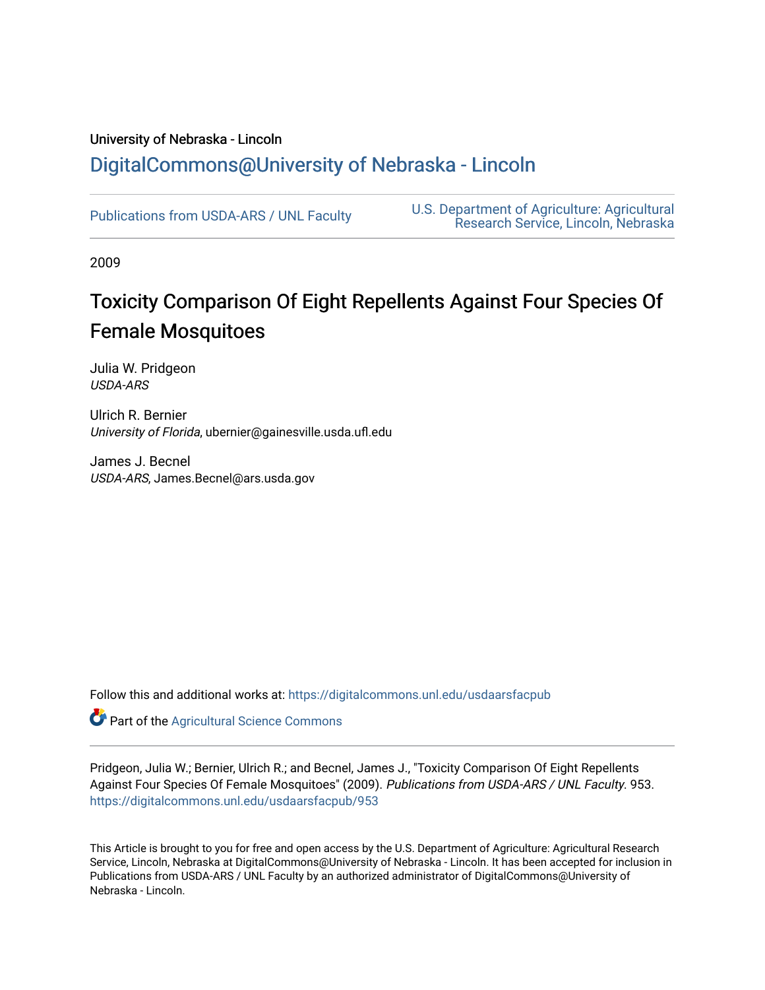## University of Nebraska - Lincoln [DigitalCommons@University of Nebraska - Lincoln](https://digitalcommons.unl.edu/)

[Publications from USDA-ARS / UNL Faculty](https://digitalcommons.unl.edu/usdaarsfacpub) [U.S. Department of Agriculture: Agricultural](https://digitalcommons.unl.edu/usdaars)  [Research Service, Lincoln, Nebraska](https://digitalcommons.unl.edu/usdaars) 

2009

# Toxicity Comparison Of Eight Repellents Against Four Species Of Female Mosquitoes

Julia W. Pridgeon USDA-ARS

Ulrich R. Bernier University of Florida, ubernier@gainesville.usda.ufl.edu

James J. Becnel USDA-ARS, James.Becnel@ars.usda.gov

Follow this and additional works at: [https://digitalcommons.unl.edu/usdaarsfacpub](https://digitalcommons.unl.edu/usdaarsfacpub?utm_source=digitalcommons.unl.edu%2Fusdaarsfacpub%2F953&utm_medium=PDF&utm_campaign=PDFCoverPages)

Part of the [Agricultural Science Commons](http://network.bepress.com/hgg/discipline/1063?utm_source=digitalcommons.unl.edu%2Fusdaarsfacpub%2F953&utm_medium=PDF&utm_campaign=PDFCoverPages)

Pridgeon, Julia W.; Bernier, Ulrich R.; and Becnel, James J., "Toxicity Comparison Of Eight Repellents Against Four Species Of Female Mosquitoes" (2009). Publications from USDA-ARS / UNL Faculty. 953. [https://digitalcommons.unl.edu/usdaarsfacpub/953](https://digitalcommons.unl.edu/usdaarsfacpub/953?utm_source=digitalcommons.unl.edu%2Fusdaarsfacpub%2F953&utm_medium=PDF&utm_campaign=PDFCoverPages)

This Article is brought to you for free and open access by the U.S. Department of Agriculture: Agricultural Research Service, Lincoln, Nebraska at DigitalCommons@University of Nebraska - Lincoln. It has been accepted for inclusion in Publications from USDA-ARS / UNL Faculty by an authorized administrator of DigitalCommons@University of Nebraska - Lincoln.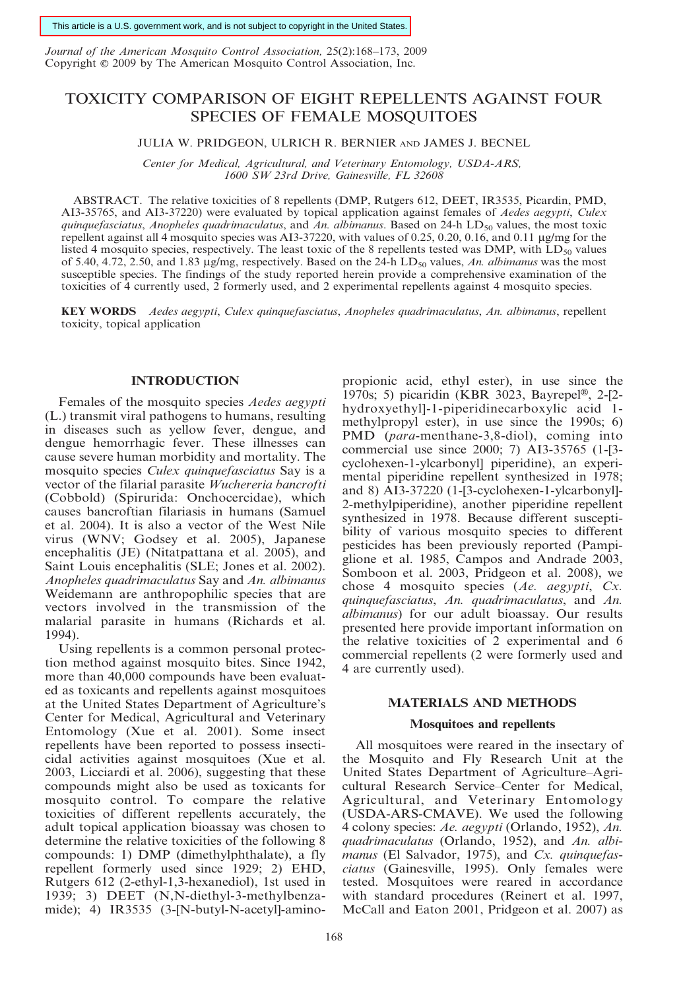This article is a U.S. government work, and is not subject to copyright in the United States.

Journal of the American Mosquito Control Association, 25(2):168–173, 2009 Copyright © 2009 by The American Mosquito Control Association, Inc.

### TOXICITY COMPARISON OF EIGHT REPELLENTS AGAINST FOUR SPECIES OF FEMALE MOSQUITOES

JULIA W. PRIDGEON, ULRICH R. BERNIER AND JAMES J. BECNEL

Center for Medical, Agricultural, and Veterinary Entomology, USDA-ARS, 1600 SW 23rd Drive, Gainesville, FL 32608

ABSTRACT. The relative toxicities of 8 repellents (DMP, Rutgers 612, DEET, IR3535, Picardin, PMD, AI3-35765, and AI3-37220) were evaluated by topical application against females of Aedes aegypti, Culex quinquefasciatus, Anopheles quadrimaculatus, and An. albimanus. Based on 24-h LD<sub>50</sub> values, the most toxic repellent against all 4 mosquito species was AI3-37220, with values of 0.25, 0.20, 0.16, and 0.11 µg/mg for the listed 4 mosquito species, respectively. The least toxic of the 8 repellents tested was DMP, with  $LD_{50}$  values of 5.40, 4.72, 2.50, and 1.83  $\mu$ g/mg, respectively. Based on the 24-h LD<sub>50</sub> values, An. albimanus was the most susceptible species. The findings of the study reported herein provide a comprehensive examination of the toxicities of 4 currently used, 2 formerly used, and 2 experimental repellents against 4 mosquito species.

KEY WORDS Aedes aegypti, Culex quinquefasciatus, Anopheles quadrimaculatus, An. albimanus, repellent toxicity, topical application

#### INTRODUCTION

Females of the mosquito species Aedes aegypti (L.) transmit viral pathogens to humans, resulting in diseases such as yellow fever, dengue, and dengue hemorrhagic fever. These illnesses can cause severe human morbidity and mortality. The mosquito species Culex quinquefasciatus Say is a vector of the filarial parasite Wuchereria bancrofti (Cobbold) (Spirurida: Onchocercidae), which causes bancroftian filariasis in humans (Samuel et al. 2004). It is also a vector of the West Nile virus (WNV; Godsey et al. 2005), Japanese encephalitis (JE) (Nitatpattana et al. 2005), and Saint Louis encephalitis (SLE; Jones et al. 2002). Anopheles quadrimaculatus Say and An. albimanus Weidemann are anthropophilic species that are vectors involved in the transmission of the malarial parasite in humans (Richards et al. 1994).

Using repellents is a common personal protection method against mosquito bites. Since 1942, more than 40,000 compounds have been evaluated as toxicants and repellents against mosquitoes at the United States Department of Agriculture's Center for Medical, Agricultural and Veterinary Entomology (Xue et al. 2001). Some insect repellents have been reported to possess insecticidal activities against mosquitoes (Xue et al. 2003, Licciardi et al. 2006), suggesting that these compounds might also be used as toxicants for mosquito control. To compare the relative toxicities of different repellents accurately, the adult topical application bioassay was chosen to determine the relative toxicities of the following 8 compounds: 1) DMP (dimethylphthalate), a fly repellent formerly used since 1929; 2) EHD, Rutgers 612 (2-ethyl-1,3-hexanediol), 1st used in 1939; 3) DEET (N,N-diethyl-3-methylbenzamide); 4) IR3535 (3-[N-butyl-N-acetyl]-aminopropionic acid, ethyl ester), in use since the 1970s; 5) picaridin (KBR 3023, Bayrepel®, 2-[2hydroxyethyl]-1-piperidinecarboxylic acid 1 methylpropyl ester), in use since the 1990s; 6) PMD (para-menthane-3,8-diol), coming into commercial use since 2000; 7) AI3-35765 (1-[3 cyclohexen-1-ylcarbonyl] piperidine), an experimental piperidine repellent synthesized in 1978; and 8) AI3-37220 (1-[3-cyclohexen-1-ylcarbonyl]- 2-methylpiperidine), another piperidine repellent synthesized in 1978. Because different susceptibility of various mosquito species to different pesticides has been previously reported (Pampiglione et al. 1985, Campos and Andrade 2003, Somboon et al. 2003, Pridgeon et al. 2008), we chose 4 mosquito species (Ae. aegypti, Cx. quinquefasciatus, An. quadrimaculatus, and An. albimanus) for our adult bioassay. Our results presented here provide important information on the relative toxicities of 2 experimental and 6 commercial repellents (2 were formerly used and 4 are currently used).

#### MATERIALS AND METHODS

#### Mosquitoes and repellents

All mosquitoes were reared in the insectary of the Mosquito and Fly Research Unit at the United States Department of Agriculture–Agricultural Research Service–Center for Medical, Agricultural, and Veterinary Entomology (USDA-ARS-CMAVE). We used the following 4 colony species: Ae. aegypti (Orlando, 1952), An. quadrimaculatus (Orlando, 1952), and An. albimanus (El Salvador, 1975), and Cx. quinquefasciatus (Gainesville, 1995). Only females were tested. Mosquitoes were reared in accordance with standard procedures (Reinert et al. 1997, McCall and Eaton 2001, Pridgeon et al. 2007) as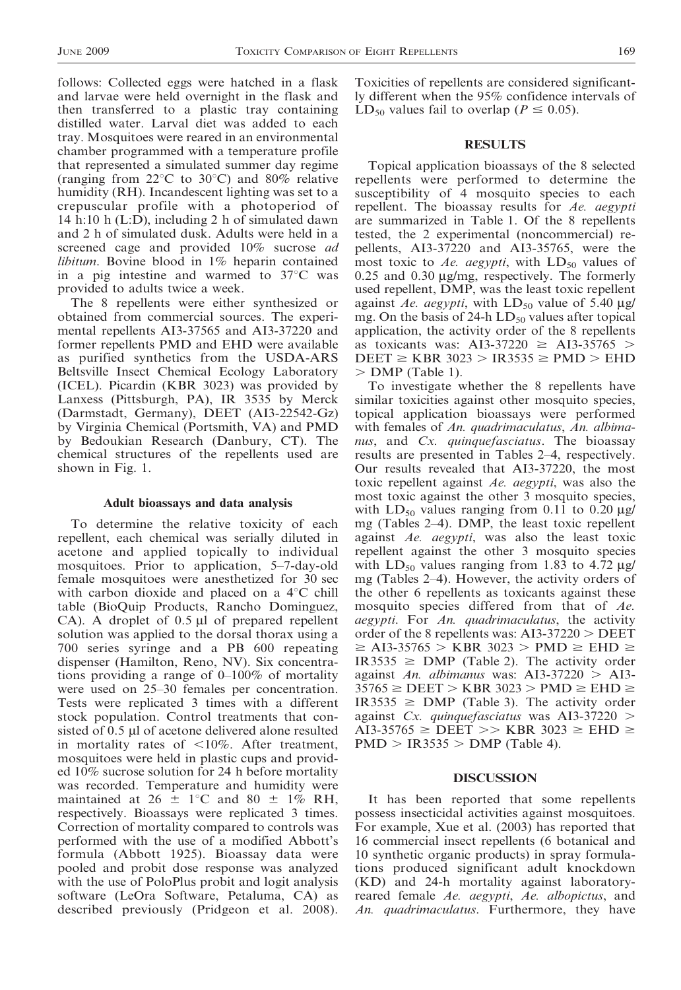follows: Collected eggs were hatched in a flask and larvae were held overnight in the flask and then transferred to a plastic tray containing distilled water. Larval diet was added to each tray. Mosquitoes were reared in an environmental chamber programmed with a temperature profile that represented a simulated summer day regime (ranging from  $22^{\circ}$ C to  $30^{\circ}$ C) and  $80\%$  relative humidity (RH). Incandescent lighting was set to a crepuscular profile with a photoperiod of 14 h:10 h (L:D), including 2 h of simulated dawn and 2 h of simulated dusk. Adults were held in a screened cage and provided 10% sucrose *ad* libitum. Bovine blood in 1% heparin contained in a pig intestine and warmed to  $37^{\circ}$ C was provided to adults twice a week.

The 8 repellents were either synthesized or obtained from commercial sources. The experimental repellents AI3-37565 and AI3-37220 and former repellents PMD and EHD were available as purified synthetics from the USDA-ARS Beltsville Insect Chemical Ecology Laboratory (ICEL). Picardin (KBR 3023) was provided by Lanxess (Pittsburgh, PA), IR 3535 by Merck (Darmstadt, Germany), DEET (AI3-22542-Gz) by Virginia Chemical (Portsmith, VA) and PMD by Bedoukian Research (Danbury, CT). The chemical structures of the repellents used are shown in Fig. 1.

#### Adult bioassays and data analysis

To determine the relative toxicity of each repellent, each chemical was serially diluted in acetone and applied topically to individual mosquitoes. Prior to application, 5–7-day-old female mosquitoes were anesthetized for 30 sec with carbon dioxide and placed on a  $4^{\circ}$ C chill table (BioQuip Products, Rancho Dominguez, CA). A droplet of  $0.5 \mu l$  of prepared repellent solution was applied to the dorsal thorax using a 700 series syringe and a PB 600 repeating dispenser (Hamilton, Reno, NV). Six concentrations providing a range of 0–100% of mortality were used on 25–30 females per concentration. Tests were replicated 3 times with a different stock population. Control treatments that consisted of 0.5 µl of acetone delivered alone resulted in mortality rates of  $\langle 10\%$ . After treatment, mosquitoes were held in plastic cups and provided 10% sucrose solution for 24 h before mortality was recorded. Temperature and humidity were maintained at 26  $\pm$  1°C and 80  $\pm$  1% RH, respectively. Bioassays were replicated 3 times. Correction of mortality compared to controls was performed with the use of a modified Abbott's formula (Abbott 1925). Bioassay data were pooled and probit dose response was analyzed with the use of PoloPlus probit and logit analysis software (LeOra Software, Petaluma, CA) as described previously (Pridgeon et al. 2008). Toxicities of repellents are considered significantly different when the 95% confidence intervals of LD<sub>50</sub> values fail to overlap ( $P \le 0.05$ ).

#### **RESULTS**

Topical application bioassays of the 8 selected repellents were performed to determine the susceptibility of 4 mosquito species to each repellent. The bioassay results for Ae. aegypti are summarized in Table 1. Of the 8 repellents tested, the 2 experimental (noncommercial) repellents, AI3-37220 and AI3-35765, were the most toxic to Ae. aegypti, with  $LD_{50}$  values of  $0.25$  and  $0.30 \mu$ g/mg, respectively. The formerly used repellent, DMP, was the least toxic repellent against Ae. aegypti, with  $LD_{50}$  value of 5.40 µg/ mg. On the basis of 24-h  $LD_{50}$  values after topical application, the activity order of the 8 repellents as toxicants was: AI3-37220  $\geq$  AI3-35765  $>$  $DEET \geq KBR$  3023 > IR3535  $\geq$  PMD > EHD  $>$  DMP (Table 1).

To investigate whether the 8 repellents have similar toxicities against other mosquito species, topical application bioassays were performed with females of An. quadrimaculatus, An. albimanus, and Cx. quinquefasciatus. The bioassay results are presented in Tables 2–4, respectively. Our results revealed that AI3-37220, the most toxic repellent against Ae. aegypti, was also the most toxic against the other 3 mosquito species, with  $LD_{50}$  values ranging from 0.11 to 0.20  $\mu$ g/ mg (Tables 2–4). DMP, the least toxic repellent against Ae. aegypti, was also the least toxic repellent against the other 3 mosquito species with  $LD_{50}$  values ranging from 1.83 to 4.72  $\mu$ g/ mg (Tables 2–4). However, the activity orders of the other 6 repellents as toxicants against these mosquito species differed from that of Ae. aegypti. For An. quadrimaculatus, the activity order of the 8 repellents was:  $A13-37220$   $>$  DEET  $\geq$  AI3-35765  $>$  KBR 3023  $>$  PMD  $\geq$  EHD  $\geq$  $IR3535 \geq DMP$  (Table 2). The activity order against An. albimanus was: AI3-37220 > AI3- $35765 \geq \text{DEET} > \text{KBR} 3023 > \text{PMD} \geq \text{EHD} \geq$  $IR3535 \geq DMP$  (Table 3). The activity order against Cx. quinque fasciatus was AI3-37220  $>$  $\overline{A13\text{-}35765}$   $\geq$  DEET >> KBR 3023  $\geq$  EHD  $\geq$  $PMD > IR3535 > DMP$  (Table 4).

#### DISCUSSION

It has been reported that some repellents possess insecticidal activities against mosquitoes. For example, Xue et al. (2003) has reported that 16 commercial insect repellents (6 botanical and 10 synthetic organic products) in spray formulations produced significant adult knockdown (KD) and 24-h mortality against laboratoryreared female Ae. aegypti, Ae. albopictus, and An. quadrimaculatus. Furthermore, they have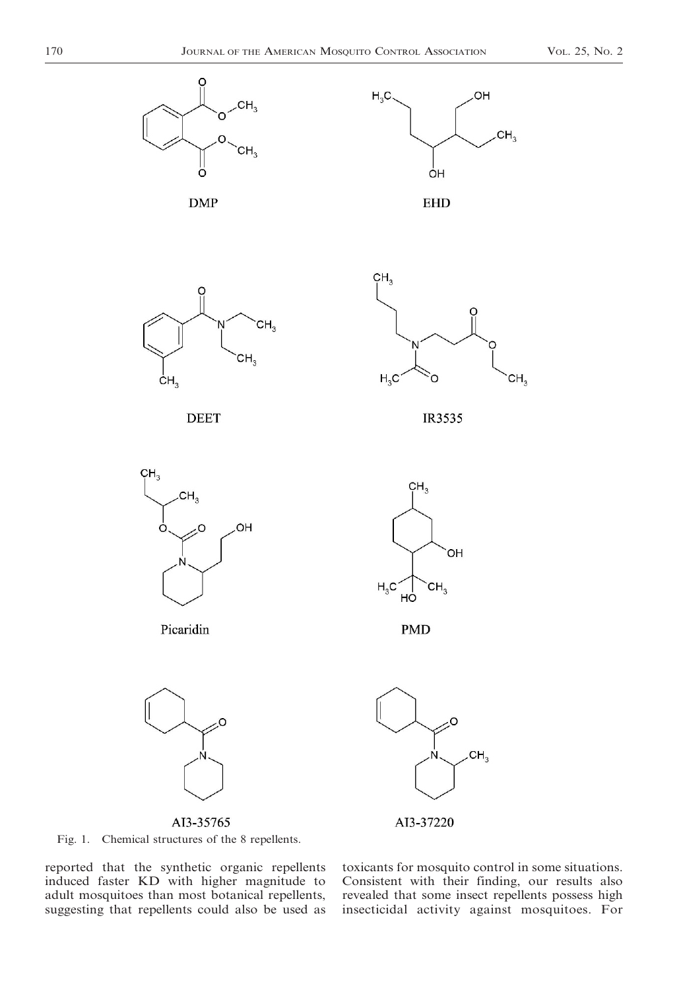





**EHD** 





**DEET** 

IR3535

OH

O



AI3-35765

AI3-37220



reported that the synthetic organic repellents induced faster KD with higher magnitude to adult mosquitoes than most botanical repellents, suggesting that repellents could also be used as

toxicants for mosquito control in some situations. Consistent with their finding, our results also revealed that some insect repellents possess high insecticidal activity against mosquitoes. For

 $CH<sub>3</sub>$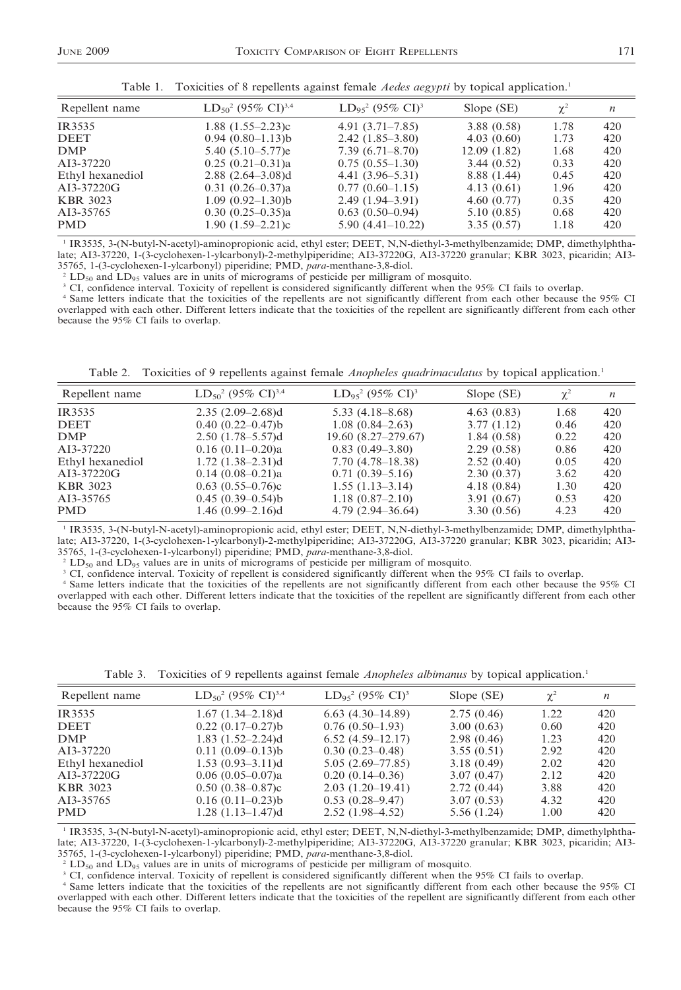|  | Table 1. Toxicities of 8 repellents against female <i>Aedes aegypti</i> by topical application. <sup>1</sup> |  |  |
|--|--------------------------------------------------------------------------------------------------------------|--|--|
|  |                                                                                                              |  |  |

| Repellent name   | $LD_{50}^2$ (95% CI) <sup>3,4</sup> | $LD_{95}^2$ (95% CI) <sup>3</sup> | Slope (SE)  | $\chi^2$ | $\boldsymbol{n}$ |
|------------------|-------------------------------------|-----------------------------------|-------------|----------|------------------|
| IR3535           | $1.88$ $(1.55-2.23)c$               | $4.91(3.71 - 7.85)$               | 3.88(0.58)  | 1.78     | 420              |
| <b>DEET</b>      | $0.94(0.80-1.13)b$                  | $2.42(1.85-3.80)$                 | 4.03(0.60)  | 1.73     | 420              |
| <b>DMP</b>       | $5.40(5.10 - 5.77)e$                | $7.39(6.71 - 8.70)$               | 12.09(1.82) | 1.68     | 420              |
| AI3-37220        | $0.25(0.21-0.31)a$                  | $0.75(0.55-1.30)$                 | 3.44(0.52)  | 0.33     | 420              |
| Ethyl hexanediol | $2.88$ $(2.64 - 3.08)d$             | $4.41(3.96-5.31)$                 | 8.88 (1.44) | 0.45     | 420              |
| AI3-37220G       | $0.31(0.26 - 0.37)a$                | $0.77(0.60-1.15)$                 | 4.13(0.61)  | 1.96     | 420              |
| <b>KBR</b> 3023  | $1.09(0.92 - 1.30)b$                | $2.49(1.94 - 3.91)$               | 4.60(0.77)  | 0.35     | 420              |
| AI3-35765        | $0.30(0.25-0.35)a$                  | $0.63(0.50-0.94)$                 | 5.10(0.85)  | 0.68     | 420              |
| <b>PMD</b>       | $1.90(1.59-2.21)c$                  | $5.90(4.41-10.22)$                | 3.35(0.57)  | 1.18     | 420              |

<sup>1</sup> IR3535, 3-(N-butyl-N-acetyl)-aminopropionic acid, ethyl ester; DEET, N,N-diethyl-3-methylbenzamide; DMP, dimethylphthalate; AI3-37220, 1-(3-cyclohexen-1-ylcarbonyl)-2-methylpiperidine; AI3-37220G, AI3-37220 granular; KBR 3023, picaridin; AI3- 35765, 1-(3-cyclohexen-1-ylcarbonyl) piperidine; PMD, *para*-menthane-3,8-diol.<br><sup>2</sup> LD<sub>50</sub> and LD<sub>95</sub> values are in units of micrograms of pesticide per milligram of mosquito.

<sup>3</sup> CI, confidence interval. Toxicity of repellent is considered significantly different when the 95% CI fails to overlap.

<sup>4</sup> Same letters indicate that the toxicities of the repellents are not significantly different from each other because the 95% CI overlapped with each other. Different letters indicate that the toxicities of the repellent are significantly different from each other because the 95% CI fails to overlap.

Table 2. Toxicities of 9 repellents against female *Anopheles quadrimaculatus* by topical application.<sup>1</sup>

| Repellent name   | $LD_{50}^2$ (95% CI) <sup>3,4</sup> | $LD_{95}^2$ (95% CI) <sup>3</sup> | Slope (SE) | $\chi^2$ | $\boldsymbol{n}$ |
|------------------|-------------------------------------|-----------------------------------|------------|----------|------------------|
| IR3535           | $2.35(2.09-2.68)d$                  | $5.33(4.18 - 8.68)$               | 4.63(0.83) | 1.68     | 420              |
| <b>DEET</b>      | $0.40(0.22 - 0.47)b$                | $1.08(0.84 - 2.63)$               | 3.77(1.12) | 0.46     | 420              |
| <b>DMP</b>       | $2.50(1.78-5.57)d$                  | $19.60(8.27-279.67)$              | 1.84(0.58) | 0.22     | 420              |
| AI3-37220        | $0.16(0.11-0.20)a$                  | $0.83(0.49-3.80)$                 | 2.29(0.58) | 0.86     | 420              |
| Ethyl hexanediol | $1.72$ $(1.38-2.31)d$               | $7.70(4.78 - 18.38)$              | 2.52(0.40) | 0.05     | 420              |
| AI3-37220G       | $0.14(0.08-0.21)a$                  | $0.71(0.39-5.16)$                 | 2.30(0.37) | 3.62     | 420              |
| <b>KBR</b> 3023  | $0.63(0.55-0.76)c$                  | $1.55(1.13-3.14)$                 | 4.18(0.84) | 1.30     | 420              |
| AI3-35765        | $0.45(0.39-0.54)b$                  | $1.18(0.87 - 2.10)$               | 3.91(0.67) | 0.53     | 420              |
| <b>PMD</b>       | $1.46(0.99 - 2.16)d$                | $4.79(2.94 - 36.64)$              | 3.30(0.56) | 4.23     | 420              |

<sup>1</sup> IR3535, 3-(N-butyl-N-acetyl)-aminopropionic acid, ethyl ester; DEET, N,N-diethyl-3-methylbenzamide; DMP, dimethylphthalate; AI3-37220, 1-(3-cyclohexen-1-ylcarbonyl)-2-methylpiperidine; AI3-37220G, AI3-37220 granular; KBR 3023, picaridin; AI3- 35765, 1-(3-cyclohexen-1-ylcarbonyl) piperidine; PMD, *para*-menthane-3,8-diol.<br><sup>2</sup> LD<sub>50</sub> and LD<sub>95</sub> values are in units of micrograms of pesticide per milligram of mosquito.

CI, confidence interval. Toxicity of repellent is considered significantly different when the 95% CI fails to overlap.

<sup>4</sup> Same letters indicate that the toxicities of the repellents are not significantly different from each other because the 95% CI overlapped with each other. Different letters indicate that the toxicities of the repellent are significantly different from each other because the 95% CI fails to overlap.

|  | Table 3. Toxicities of 9 repellents against female <i>Anopheles albimanus</i> by topical application. <sup>1</sup> |  |  |  |  |  |  |  |  |  |
|--|--------------------------------------------------------------------------------------------------------------------|--|--|--|--|--|--|--|--|--|
|--|--------------------------------------------------------------------------------------------------------------------|--|--|--|--|--|--|--|--|--|

| Repellent name   | $LD_{50}^2$ (95% CI) <sup>3,4</sup> | $LD_{95}^2$ (95% CI) <sup>3</sup> | Slope (SE) | $\chi^2$ | n   |
|------------------|-------------------------------------|-----------------------------------|------------|----------|-----|
| IR3535           | $1.67$ $(1.34 - 2.18)d$             | $6.63(4.30-14.89)$                | 2.75(0.46) | 1.22     | 420 |
| <b>DEET</b>      | $0.22(0.17-0.27)b$                  | $0.76(0.50-1.93)$                 | 3.00(0.63) | 0.60     | 420 |
| <b>DMP</b>       | $1.83$ $(1.52 - 2.24)$ d            | $6.52(4.59-12.17)$                | 2.98(0.46) | 1.23     | 420 |
| AI3-37220        | $0.11(0.09-0.13)b$                  | $0.30(0.23 - 0.48)$               | 3.55(0.51) | 2.92     | 420 |
| Ethyl hexanediol | $1.53(0.93 - 3.11)d$                | $5.05(2.69 - 77.85)$              | 3.18(0.49) | 2.02     | 420 |
| AI3-37220G       | $0.06(0.05-0.07)a$                  | $0.20(0.14-0.36)$                 | 3.07(0.47) | 2.12     | 420 |
| <b>KBR</b> 3023  | $0.50(0.38 - 0.87)c$                | $2.03(1.20-19.41)$                | 2.72(0.44) | 3.88     | 420 |
| AI3-35765        | $0.16(0.11-0.23)b$                  | $0.53(0.28 - 9.47)$               | 3.07(0.53) | 4.32     | 420 |
| <b>PMD</b>       | $1.28$ $(1.13-1.47)d$               | $2.52(1.98-4.52)$                 | 5.56(1.24) | 1.00     | 420 |
|                  |                                     |                                   |            |          |     |

<sup>1</sup> IR3535, 3-(N-butyl-N-acetyl)-aminopropionic acid, ethyl ester; DEET, N,N-diethyl-3-methylbenzamide; DMP, dimethylphthalate; AI3-37220, 1-(3-cyclohexen-1-ylcarbonyl)-2-methylpiperidine; AI3-37220G, AI3-37220 granular; KBR 3023, picaridin; AI3-

35765, 1-(3-cyclohexen-1-ylcarbonyl) piperidine; PMD, *para*-menthane-3,8-diol.<br><sup>2</sup> LD<sub>50</sub> and LD<sub>95</sub> values are in units of micrograms of pesticide per milligram of mosquito.

<sup>3</sup> CI, confidence interval. Toxicity of repellent is considered significantly different when the 95% CI fails to overlap.

<sup>4</sup> Same letters indicate that the toxicities of the repellents are not significantly different from each other because the 95% CI overlapped with each other. Different letters indicate that the toxicities of the repellent are significantly different from each other because the 95% CI fails to overlap.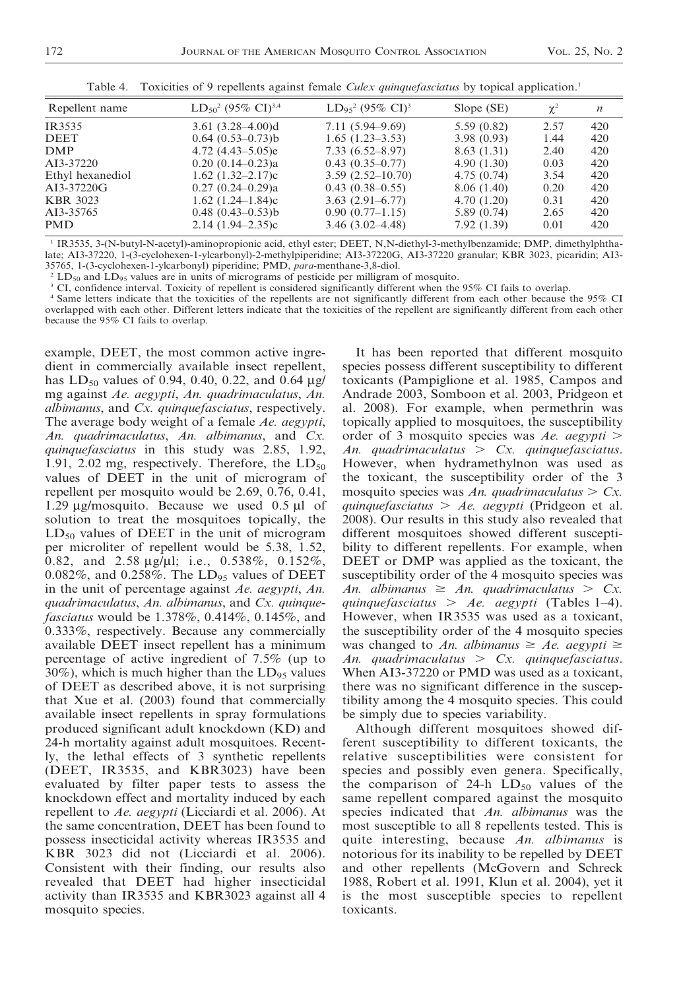| Repellent name   | $LD_{50}^2$ (95% CI) <sup>3,4</sup> | $LD_{95}^2$ (95% CI) <sup>3</sup> | Slope (SE)  | $\chi^2$ | $\boldsymbol{n}$ |
|------------------|-------------------------------------|-----------------------------------|-------------|----------|------------------|
| IR3535           | $3.61(3.28 - 4.00)d$                | $7.11(5.94 - 9.69)$               | 5.59(0.82)  | 2.57     | 420              |
| DEET             | $0.64(0.53-0.73)b$                  | $1.65(1.23-3.53)$                 | 3.98(0.93)  | 1.44     | 420              |
| <b>DMP</b>       | 4.72 $(4.43-5.05)e$                 | $7.33(6.52 - 8.97)$               | 8.63(1.31)  | 2.40     | 420              |
| AI3-37220        | $0.20(0.14-0.23)a$                  | $0.43(0.35-0.77)$                 | 4.90(1.30)  | 0.03     | 420              |
| Ethyl hexanediol | 1.62 $(1.32 - 2.17)c$               | $3.59(2.52 - 10.70)$              | 4.75(0.74)  | 3.54     | 420              |
| AI3-37220G       | $0.27(0.24 - 0.29)a$                | $0.43(0.38 - 0.55)$               | 8.06(1.40)  | 0.20     | 420              |
| KBR 3023         | 1.62 $(1.24 - 1.84)c$               | $3.63(2.91 - 6.77)$               | 4.70(1.20)  | 0.31     | 420              |
| AI3-35765        | $0.48(0.43 - 0.53)b$                | $0.90(0.77-1.15)$                 | 5.89(0.74)  | 2.65     | 420              |
| PMD              | $2.14(1.94 - 2.35)c$                | $3.46(3.02 - 4.48)$               | 7.92 (1.39) | 0.01     | 420              |
|                  |                                     |                                   |             |          |                  |

Table 4. Toxicities of 9 repellents against female Culex quinquefasciatus by topical application.<sup>1</sup>

<sup>1</sup> IR3535, 3-(N-butyl-N-acetyl)-aminopropionic acid, ethyl ester; DEET, N,N-diethyl-3-methylbenzamide; DMP, dimethylphthalate; AI3-37220, 1-(3-cyclohexen-1-ylcarbonyl)-2-methylpiperidine; AI3-37220G, AI3-37220 granular; KBR 3023, picaridin; AI3- 35765, 1-(3-cyclohexen-1-ylcarbonyl) piperidine; PMD, *para*-menthane-3,8-diol.<br><sup>2</sup> LD<sub>50</sub> and LD<sub>95</sub> values are in units of micrograms of pesticide per milligram of mosquito.

<sup>3</sup> CI, confidence interval. Toxicity of repellent is considered significantly different when the 95% CI fails to overlap.

<sup>4</sup> Same letters indicate that the toxicities of the repellents are not significantly different from each other because the 95% CI overlapped with each other. Different letters indicate that the toxicities of the repellent are significantly different from each other because the 95% CI fails to overlap.

example, DEET, the most common active ingredient in commercially available insect repellent, has  $LD_{50}$  values of 0.94, 0.40, 0.22, and 0.64  $\mu$ g/ mg against Ae. aegypti, An. quadrimaculatus, An. albimanus, and Cx. quinquefasciatus, respectively. The average body weight of a female Ae. aegypti, An. quadrimaculatus, An. albimanus, and Cx. quinquefasciatus in this study was 2.85, 1.92, 1.91, 2.02 mg, respectively. Therefore, the  $LD_{50}$ values of DEET in the unit of microgram of repellent per mosquito would be 2.69, 0.76, 0.41, 1.29  $\mu$ g/mosquito. Because we used 0.5  $\mu$ l of solution to treat the mosquitoes topically, the  $LD_{50}$  values of DEET in the unit of microgram per microliter of repellent would be 5.38, 1.52, 0.82, and 2.58  $\mu$ g/ $\mu$ l; i.e., 0.538%, 0.152%, 0.082%, and 0.258%. The  $LD_{95}$  values of DEET in the unit of percentage against Ae. aegypti, An. quadrimaculatus, An. albimanus, and Cx. quinquefasciatus would be 1.378%, 0.414%, 0.145%, and 0.333%, respectively. Because any commercially available DEET insect repellent has a minimum percentage of active ingredient of 7.5% (up to 30%), which is much higher than the  $LD_{95}$  values of DEET as described above, it is not surprising that Xue et al. (2003) found that commercially available insect repellents in spray formulations produced significant adult knockdown (KD) and 24-h mortality against adult mosquitoes. Recently, the lethal effects of 3 synthetic repellents (DEET, IR3535, and KBR3023) have been evaluated by filter paper tests to assess the knockdown effect and mortality induced by each repellent to Ae. aegypti (Licciardi et al. 2006). At the same concentration, DEET has been found to possess insecticidal activity whereas IR3535 and KBR 3023 did not (Licciardi et al. 2006). Consistent with their finding, our results also revealed that DEET had higher insecticidal activity than IR3535 and KBR3023 against all 4 mosquito species.

It has been reported that different mosquito species possess different susceptibility to different toxicants (Pampiglione et al. 1985, Campos and Andrade 2003, Somboon et al. 2003, Pridgeon et al. 2008). For example, when permethrin was topically applied to mosquitoes, the susceptibility order of 3 mosquito species was  $Ae$ . aegypti > An. quadrimaculatus  $\geq Cx$ . quinquefasciatus. However, when hydramethylnon was used as the toxicant, the susceptibility order of the 3 mosquito species was An. quadrimaculatus  $> Cx$ . quinquefasciatus  $> Ae$ . aegypti (Pridgeon et al. 2008). Our results in this study also revealed that different mosquitoes showed different susceptibility to different repellents. For example, when DEET or DMP was applied as the toxicant, the susceptibility order of the 4 mosquito species was An. albimanus  $\geq An$ . quadrimaculatus  $\geq Cx$ . quinque fasciatus  $> Ae$ . aegypti (Tables 1–4). However, when IR3535 was used as a toxicant, the susceptibility order of the 4 mosquito species was changed to An. albimanus  $\geq$  Ae. aegypti  $\geq$ An. quadrimaculatus  $\geq Cx$ . quinque fasciatus. When AI3-37220 or PMD was used as a toxicant, there was no significant difference in the susceptibility among the 4 mosquito species. This could be simply due to species variability.

Although different mosquitoes showed different susceptibility to different toxicants, the relative susceptibilities were consistent for species and possibly even genera. Specifically, the comparison of 24-h  $LD_{50}$  values of the same repellent compared against the mosquito species indicated that An. albimanus was the most susceptible to all 8 repellents tested. This is quite interesting, because An. albimanus is notorious for its inability to be repelled by DEET and other repellents (McGovern and Schreck 1988, Robert et al. 1991, Klun et al. 2004), yet it is the most susceptible species to repellent toxicants.